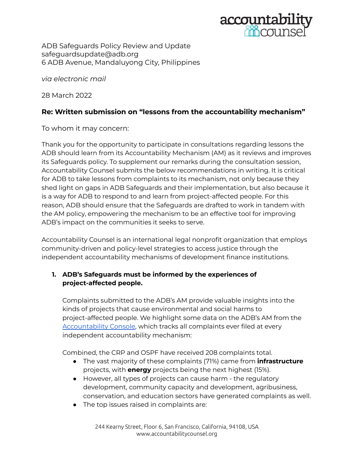

ADB Safeguards Policy Review and Update safeguardsupdate@adb.org 6 ADB Avenue, Mandaluyong City, Philippines

*via electronic mail*

28 March 2022

# **Re: Written submission on "lessons from the accountability mechanism"**

To whom it may concern:

Thank you for the opportunity to participate in consultations regarding lessons the ADB should learn from its Accountability Mechanism (AM) as it reviews and improves its Safeguards policy. To supplement our remarks during the consultation session, Accountability Counsel submits the below recommendations in writing. It is critical for ADB to take lessons from complaints to its mechanism, not only because they shed light on gaps in ADB Safeguards and their implementation, but also because it is a way for ADB to respond to and learn from project-affected people. For this reason, ADB should ensure that the Safeguards are drafted to work in tandem with the AM policy, empowering the mechanism to be an effective tool for improving ADB's impact on the communities it seeks to serve.

Accountability Counsel is an international legal nonprofit organization that employs community-driven and policy-level strategies to access justice through the independent accountability mechanisms of development finance institutions.

## **1. ADB's Safeguards must be informed by the experiences of project-affected people.**

Complaints submitted to the ADB's AM provide valuable insights into the kinds of projects that cause environmental and social harms to project-affected people. We highlight some data on the ADB's AM from the [Accountability](https://accountabilityconsole.com/complaints/visualize/?iam=5&) Console, which tracks all complaints ever filed at every independent accountability mechanism:

Combined, the CRP and OSPF have received 208 complaints total.

- The vast majority of these complaints (71%) came from **infrastructure** projects, with **energy** projects being the next highest (15%).
- However, all types of projects can cause harm the regulatory development, community capacity and development, agribusiness, conservation, and education sectors have generated complaints as well.
- The top issues raised in complaints are: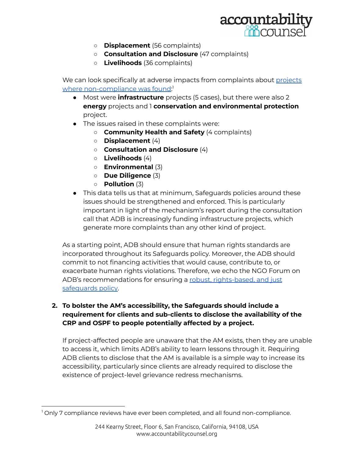

- **Displacement** (56 complaints)
- **Consultation and Disclosure** (47 complaints)
- **Livelihoods** (36 complaints)

We can look specifically at adverse impacts from complaints about [projects](https://accountabilityconsole.com/complaints/visualize/?iam=5&is_non_compliant=True) where [non-compliance](https://accountabilityconsole.com/complaints/visualize/?iam=5&is_non_compliant=True) was found: 1

- Most were **infrastructure** projects (5 cases), but there were also 2 **energy** projects and 1 **conservation and environmental protection** project.
- The issues raised in these complaints were:
	- **Community Health and Safety** (4 complaints)
	- **Displacement** (4)
	- **Consultation and Disclosure** (4)
	- **Livelihoods** (4)
	- **Environmental** (3)
	- **Due Diligence** (3)
	- **Pollution** (3)
- This data tells us that at minimum, Safeguards policies around these issues should be strengthened and enforced. This is particularly important in light of the mechanism's report during the consultation call that ADB is increasingly funding infrastructure projects, which generate more complaints than any other kind of project.

As a starting point, ADB should ensure that human rights standards are incorporated throughout its Safeguards policy. Moreover, the ADB should commit to not financing activities that would cause, contribute to, or exacerbate human rights violations. Therefore, we echo the NGO Forum on ADB's recommendations for ensuring a robust, [rights-based,](https://www.forum-adb.org/post/joint-civil-society-statement-for-a-robust-rights-based-and-just-safeguards-policy-at-the-adb) and just [safeguards](https://www.forum-adb.org/post/joint-civil-society-statement-for-a-robust-rights-based-and-just-safeguards-policy-at-the-adb) policy.

#### **2. To bolster the AM's accessibility, the Safeguards should include a requirement for clients and sub-clients to disclose the availability of the CRP and OSPF to people potentially affected by a project.**

If project-affected people are unaware that the AM exists, then they are unable to access it, which limits ADB's ability to learn lessons through it. Requiring ADB clients to disclose that the AM is available is a simple way to increase its accessibility, particularly since clients are already required to disclose the existence of project-level grievance redress mechanisms.

<sup>&</sup>lt;sup>1</sup> Only 7 compliance reviews have ever been completed, and all found non-compliance.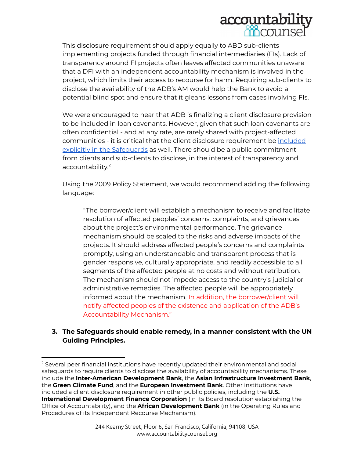

This disclosure requirement should apply equally to ABD sub-clients implementing projects funded through financial intermediaries (FIs). Lack of transparency around FI projects often leaves affected communities unaware that a DFI with an independent accountability mechanism is involved in the project, which limits their access to recourse for harm. Requiring sub-clients to disclose the availability of the ADB's AM would help the Bank to avoid a potential blind spot and ensure that it gleans lessons from cases involving FIs.

We were encouraged to hear that ADB is finalizing a client disclosure provision to be included in loan covenants. However, given that such loan covenants are often confidential - and at any rate, are rarely shared with project-affected communities - it is critical that the client disclosure requirement be [included](https://www.accountabilitycounsel.org/2022/02/why-dfi-clients-should-tell-communities-about-accountability-mechanisms/) explicitly in the Safequards as well. There should be a public commitment from clients and sub-clients to disclose, in the interest of transparency and accountability.<sup>2</sup>

Using the 2009 Policy Statement, we would recommend adding the following language:

"The borrower/client will establish a mechanism to receive and facilitate resolution of affected peoples' concerns, complaints, and grievances about the project's environmental performance. The grievance mechanism should be scaled to the risks and adverse impacts of the projects. It should address affected people's concerns and complaints promptly, using an understandable and transparent process that is gender responsive, culturally appropriate, and readily accessible to all segments of the affected people at no costs and without retribution. The mechanism should not impede access to the country's judicial or administrative remedies. The affected people will be appropriately informed about the mechanism. In addition, the borrower/client will notify affected peoples of the existence and application of the ADB's Accountability Mechanism."

#### **3. The Safeguards should enable remedy, in a manner consistent with the UN Guiding Principles.**

 $<sup>2</sup>$  Several peer financial institutions have recently updated their environmental and social</sup> safeguards to require clients to disclose the availability of accountability mechanisms. These include the **Inter-American Development Bank**, the **Asian Infrastructure Investment Bank**, the **Green Climate Fund**, and the **European Investment Bank**. Other institutions have included a client disclosure requirement in other public policies, including the **U.S. International Development Finance Corporation** (in its Board resolution establishing the Office of Accountability), and the **African Development Bank** (in the Operating Rules and Procedures of its Independent Recourse Mechanism).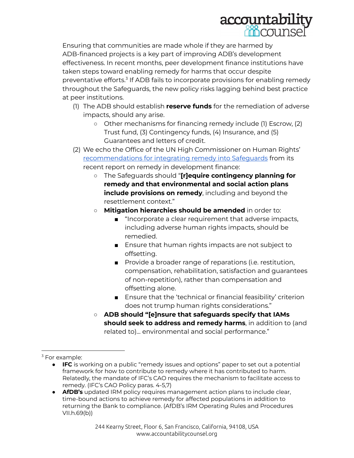

Ensuring that communities are made whole if they are harmed by ADB-financed projects is a key part of improving ADB's development effectiveness. In recent months, peer development finance institutions have taken steps toward enabling remedy for harms that occur despite preventative efforts.<sup>3</sup> If ADB fails to incorporate provisions for enabling remedy throughout the Safeguards, the new policy risks lagging behind best practice at peer institutions.

- (1) The ADB should establish **reserve funds** for the remediation of adverse impacts, should any arise.
	- Other mechanisms for financing remedy include (1) Escrow, (2) Trust fund, (3) Contingency funds, (4) Insurance, and (5) Guarantees and letters of credit.
- (2) We echo the Office of the UN High Commissioner on Human Rights' [recommendations](https://www.ohchr.org/Documents/Publications/Remedy-in-Development.pdf#page=58) for integrating remedy into Safeguards from its recent report on remedy in development finance:
	- The Safeguards should "**[r]equire contingency planning for remedy and that environmental and social action plans include provisions on remedy**, including and beyond the resettlement context."
	- **Mitigation hierarchies should be amended** in order to:
		- "Incorporate a clear requirement that adverse impacts, including adverse human rights impacts, should be remedied.
		- Ensure that human rights impacts are not subject to offsetting.
		- Provide a broader range of reparations (i.e. restitution, compensation, rehabilitation, satisfaction and guarantees of non-repetition), rather than compensation and offsetting alone.
		- Ensure that the 'technical or financial feasibility' criterion does not trump human rights considerations."
	- **ADB should "[e]nsure that safeguards specify that IAMs should seek to address and remedy harms**, in addition to (and related to)... environmental and social performance."

 $3$  For example:

<sup>●</sup> **IFC** is working on a public "remedy issues and options" paper to set out a potential framework for how to contribute to remedy where it has contributed to harm. Relatedly, the mandate of IFC's CAO requires the mechanism to facilitate access to remedy. (IFC's CAO Policy paras. 4-5,7)

<sup>●</sup> **AfDB's** updated IRM policy requires management action plans to include clear, time-bound actions to achieve remedy for affected populations in addition to returning the Bank to compliance. (AfDB's IRM Operating Rules and Procedures VII.h.69(b))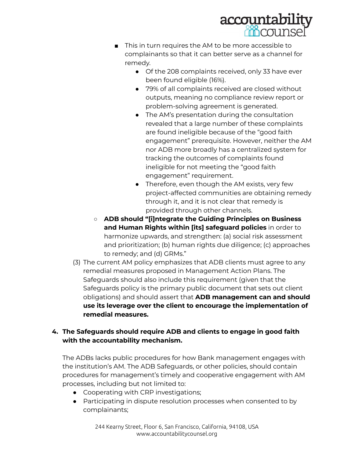

- This in turn requires the AM to be more accessible to complainants so that it can better serve as a channel for remedy.
	- Of the 208 complaints received, only 33 have ever been found eligible (16%).
	- **●** 79% of all complaints received are closed without outputs, meaning no compliance review report or problem-solving agreement is generated.
	- The AM's presentation during the consultation revealed that a large number of these complaints are found ineligible because of the "good faith engagement" prerequisite. However, neither the AM nor ADB more broadly has a centralized system for tracking the outcomes of complaints found ineligible for not meeting the "good faith engagement" requirement.
	- Therefore, even though the AM exists, very few project-affected communities are obtaining remedy through it, and it is not clear that remedy is provided through other channels.
- **ADB should "[i]ntegrate the Guiding Principles on Business and Human Rights within [its] safeguard policies** in order to harmonize upwards, and strengthen: (a) social risk assessment and prioritization; (b) human rights due diligence; (c) approaches to remedy; and (d) GRMs."
- (3) The current AM policy emphasizes that ADB clients must agree to any remedial measures proposed in Management Action Plans. The Safeguards should also include this requirement (given that the Safeguards policy is the primary public document that sets out client obligations) and should assert that **ADB management can and should use its leverage over the client to encourage the implementation of remedial measures.**

## **4. The Safeguards should require ADB and clients to engage in good faith with the accountability mechanism.**

The ADBs lacks public procedures for how Bank management engages with the institution's AM. The ADB Safeguards, or other policies, should contain procedures for management's timely and cooperative engagement with AM processes, including but not limited to:

- Cooperating with CRP investigations;
- Participating in dispute resolution processes when consented to by complainants;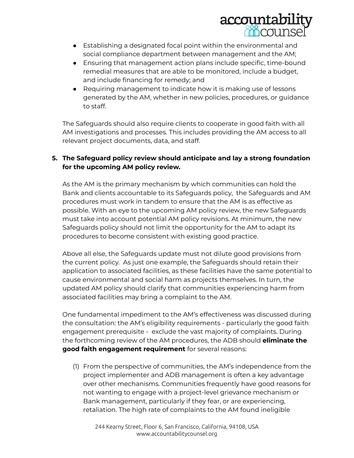

- Establishing a designated focal point within the environmental and social compliance department between management and the AM;
- Ensuring that management action plans include specific, time-bound remedial measures that are able to be monitored, include a budget, and include financing for remedy; and
- Requiring management to indicate how it is making use of lessons generated by the AM, whether in new policies, procedures, or guidance to staff.

The Safeguards should also require clients to cooperate in good faith with all AM investigations and processes. This includes providing the AM access to all relevant project documents, data, and staff.

### **5. The Safeguard policy review should anticipate and lay a strong foundation for the upcoming AM policy review.**

As the AM is the primary mechanism by which communities can hold the Bank and clients accountable to its Safeguards policy, the Safeguards and AM procedures must work in tandem to ensure that the AM is as effective as possible. With an eye to the upcoming AM policy review, the new Safeguards must take into account potential AM policy revisions. At minimum, the new Safeguards policy should not limit the opportunity for the AM to adapt its procedures to become consistent with existing good practice.

Above all else, the Safeguards update must not dilute good provisions from the current policy. As just one example, the Safeguards should retain their application to associated facilities, as these facilities have the same potential to cause environmental and social harm as projects themselves. In turn, the updated AM policy should clarify that communities experiencing harm from associated facilities may bring a complaint to the AM.

One fundamental impediment to the AM's effectiveness was discussed during the consultation: the AM's eligibility requirements - particularly the good faith engagement prerequisite - exclude the vast majority of complaints. During the forthcoming review of the AM procedures, the ADB should **eliminate the good faith engagement requirement** for several reasons:

(1) From the perspective of communities, the AM's independence from the project implementer and ADB management is often a key advantage over other mechanisms. Communities frequently have good reasons for not wanting to engage with a project-level grievance mechanism or Bank management, particularly if they fear, or are experiencing, retaliation. The high rate of complaints to the AM found ineligible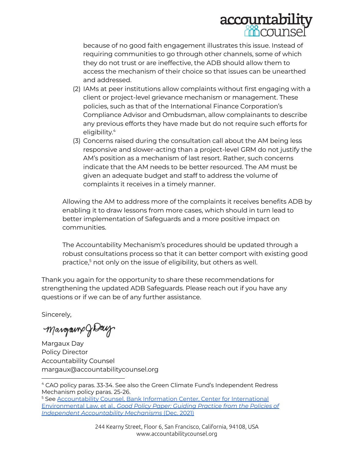

because of no good faith engagement illustrates this issue. Instead of requiring communities to go through other channels, some of which they do not trust or are ineffective, the ADB should allow them to access the mechanism of their choice so that issues can be unearthed and addressed.

- (2) IAMs at peer institutions allow complaints without first engaging with a client or project-level grievance mechanism or management. These policies, such as that of the International Finance Corporation's Compliance Advisor and Ombudsman, allow complainants to describe any previous efforts they have made but do not require such efforts for eligibility. 4
- (3) Concerns raised during the consultation call about the AM being less responsive and slower-acting than a project-level GRM do not justify the AM's position as a mechanism of last resort. Rather, such concerns indicate that the AM needs to be better resourced. The AM must be given an adequate budget and staff to address the volume of complaints it receives in a timely manner.

Allowing the AM to address more of the complaints it receives benefits ADB by enabling it to draw lessons from more cases, which should in turn lead to better implementation of Safeguards and a more positive impact on communities.

The Accountability Mechanism's procedures should be updated through a robust consultations process so that it can better comport with existing good practice,<sup>5</sup> not only on the issue of eligibility, but others as well.

Thank you again for the opportunity to share these recommendations for strengthening the updated ADB Safeguards. Please reach out if you have any questions or if we can be of any further assistance.

Sincerely,

Margamp JDay

Margaux Day Policy Director Accountability Counsel margaux@accountabilitycounsel.org

<sup>4</sup> CAO policy paras. 33-34. See also the Green Climate Fund's Independent Redress Mechanism policy paras. 25-26.

<sup>5</sup> See [Accountability](https://accountabilitycounsel.org/wp-content/uploads/2021/12/good-policy-paper-final.pdf) Counsel, Bank Information Center, Center for International [Environmental](https://accountabilitycounsel.org/wp-content/uploads/2021/12/good-policy-paper-final.pdf) Law, et al., *Good Policy Paper: Guiding Practice from the Policies of Independent [Accountability](https://accountabilitycounsel.org/wp-content/uploads/2021/12/good-policy-paper-final.pdf) Mechanisms* (Dec. 2021)